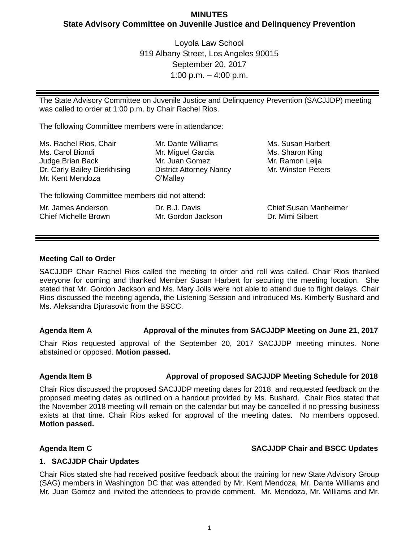# **MINUTES State Advisory Committee on Juvenile Justice and Delinquency Prevention**

Loyola Law School 919 Albany Street, Los Angeles 90015 September 20, 2017 1:00 p.m.  $-$  4:00 p.m.

The State Advisory Committee on Juvenile Justice and Delinquency Prevention (SACJJDP) meeting was called to order at 1:00 p.m. by Chair Rachel Rios.

The following Committee members were in attendance:

| Ms. Rachel Rios, Chair                          | Mr. Dante Williams             | Ms. Susan Harbert            |
|-------------------------------------------------|--------------------------------|------------------------------|
| Ms. Carol Biondi                                | Mr. Miguel Garcia              | Ms. Sharon King              |
| Judge Brian Back                                | Mr. Juan Gomez                 | Mr. Ramon Leija              |
| Dr. Carly Bailey Dierkhising                    | <b>District Attorney Nancy</b> | Mr. Winston Peters           |
| Mr. Kent Mendoza                                | O'Malley                       |                              |
| The following Committee members did not attend: |                                |                              |
| Mr. James Anderson                              | Dr. B.J. Davis                 | <b>Chief Susan Manheimer</b> |
| <b>Chief Michelle Brown</b>                     | Mr. Gordon Jackson             | Dr. Mimi Silbert             |

### **Meeting Call to Order**

SACJJDP Chair Rachel Rios called the meeting to order and roll was called. Chair Rios thanked everyone for coming and thanked Member Susan Harbert for securing the meeting location. She stated that Mr. Gordon Jackson and Ms. Mary Jolls were not able to attend due to flight delays. Chair Rios discussed the meeting agenda, the Listening Session and introduced Ms. Kimberly Bushard and Ms. Aleksandra Djurasovic from the BSCC.

## **Agenda Item A Approval of the minutes from SACJJDP Meeting on June 21, 2017**

Chair Rios requested approval of the September 20, 2017 SACJJDP meeting minutes. None abstained or opposed. **Motion passed.**

## **Agenda Item B Approval of proposed SACJJDP Meeting Schedule for 2018**

Chair Rios discussed the proposed SACJJDP meeting dates for 2018, and requested feedback on the proposed meeting dates as outlined on a handout provided by Ms. Bushard. Chair Rios stated that the November 2018 meeting will remain on the calendar but may be cancelled if no pressing business exists at that time. Chair Rios asked for approval of the meeting dates. No members opposed. **Motion passed.**

## **Agenda Item C SACJJDP Chair and BSCC Updates**

### **1. SACJJDP Chair Updates**

Chair Rios stated she had received positive feedback about the training for new State Advisory Group (SAG) members in Washington DC that was attended by Mr. Kent Mendoza, Mr. Dante Williams and Mr. Juan Gomez and invited the attendees to provide comment. Mr. Mendoza, Mr. Williams and Mr.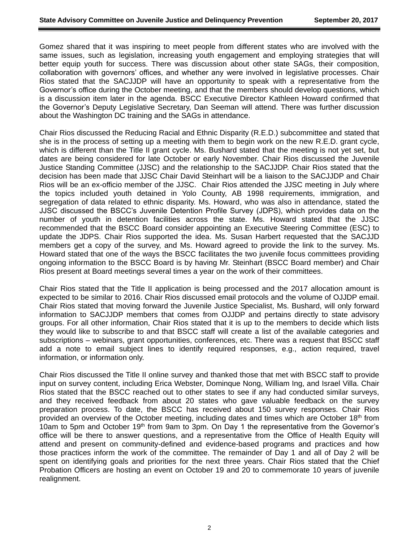Gomez shared that it was inspiring to meet people from different states who are involved with the same issues, such as legislation, increasing youth engagement and employing strategies that will better equip youth for success. There was discussion about other state SAGs, their composition, collaboration with governors' offices, and whether any were involved in legislative processes. Chair Rios stated that the SACJJDP will have an opportunity to speak with a representative from the Governor's office during the October meeting, and that the members should develop questions, which is a discussion item later in the agenda. BSCC Executive Director Kathleen Howard confirmed that the Governor's Deputy Legislative Secretary, Dan Seeman will attend. There was further discussion about the Washington DC training and the SAGs in attendance.

Chair Rios discussed the Reducing Racial and Ethnic Disparity (R.E.D.) subcommittee and stated that she is in the process of setting up a meeting with them to begin work on the new R.E.D. grant cycle, which is different than the Title II grant cycle. Ms. Bushard stated that the meeting is not yet set, but dates are being considered for late October or early November. Chair Rios discussed the Juvenile Justice Standing Committee (JJSC) and the relationship to the SACJJDP. Chair Rios stated that the decision has been made that JJSC Chair David Steinhart will be a liaison to the SACJJDP and Chair Rios will be an ex-officio member of the JJSC. Chair Rios attended the JJSC meeting in July where the topics included youth detained in Yolo County, AB 1998 requirements, immigration, and segregation of data related to ethnic disparity. Ms. Howard, who was also in attendance, stated the JJSC discussed the BSCC's Juvenile Detention Profile Survey (JDPS), which provides data on the number of youth in detention facilities across the state. Ms. Howard stated that the JJSC recommended that the BSCC Board consider appointing an Executive Steering Committee (ESC) to update the JDPS. Chair Rios supported the idea. Ms. Susan Harbert requested that the SACJJD members get a copy of the survey, and Ms. Howard agreed to provide the link to the survey. Ms. Howard stated that one of the ways the BSCC facilitates the two juvenile focus committees providing ongoing information to the BSCC Board is by having Mr. Steinhart (BSCC Board member) and Chair Rios present at Board meetings several times a year on the work of their committees.

Chair Rios stated that the Title II application is being processed and the 2017 allocation amount is expected to be similar to 2016. Chair Rios discussed email protocols and the volume of OJJDP email. Chair Rios stated that moving forward the Juvenile Justice Specialist, Ms. Bushard, will only forward information to SACJJDP members that comes from OJJDP and pertains directly to state advisory groups. For all other information, Chair Rios stated that it is up to the members to decide which lists they would like to subscribe to and that BSCC staff will create a list of the available categories and subscriptions – webinars, grant opportunities, conferences, etc. There was a request that BSCC staff add a note to email subject lines to identify required responses, e.g., action required, travel information, or information only.

Chair Rios discussed the Title II online survey and thanked those that met with BSCC staff to provide input on survey content, including Erica Webster, Dominque Nong, William Ing, and Israel Villa. Chair Rios stated that the BSCC reached out to other states to see if any had conducted similar surveys, and they received feedback from about 20 states who gave valuable feedback on the survey preparation process. To date, the BSCC has received about 150 survey responses. Chair Rios provided an overview of the October meeting, including dates and times which are October 18th from 10am to 5pm and October 19<sup>th</sup> from 9am to 3pm. On Day 1 the representative from the Governor's office will be there to answer questions, and a representative from the Office of Health Equity will attend and present on community-defined and evidence-based programs and practices and how those practices inform the work of the committee. The remainder of Day 1 and all of Day 2 will be spent on identifying goals and priorities for the next three years. Chair Rios stated that the Chief Probation Officers are hosting an event on October 19 and 20 to commemorate 10 years of juvenile realignment.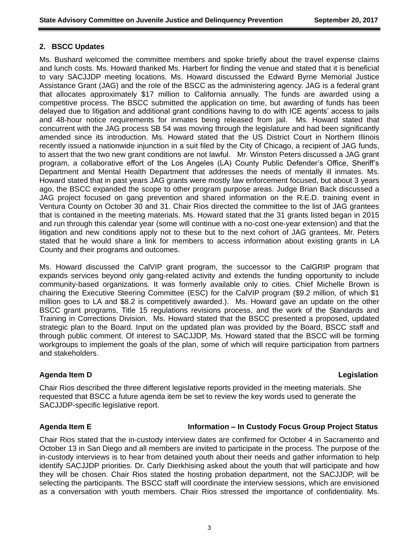## **2. BSCC Updates**

Ms. Bushard welcomed the committee members and spoke briefly about the travel expense claims and lunch costs. Ms. Howard thanked Ms. Harbert for finding the venue and stated that it is beneficial to vary SACJJDP meeting locations. Ms. Howard discussed the Edward Byrne Memorial Justice Assistance Grant (JAG) and the role of the BSCC as the administering agency. JAG is a federal grant that allocates approximately \$17 million to California annually. The funds are awarded using a competitive process. The BSCC submitted the application on time, but awarding of funds has been delayed due to litigation and additional grant conditions having to do with ICE agents' access to jails and 48-hour notice requirements for inmates being released from jail. Ms. Howard stated that concurrent with the JAG process SB 54 was moving through the legislature and had been significantly amended since its introduction. Ms. Howard stated that the US District Court in Northern Illinois recently issued a nationwide injunction in a suit filed by the City of Chicago, a recipient of JAG funds, to assert that the two new grant conditions are not lawful. Mr. Winston Peters discussed a JAG grant program, a collaborative effort of the Los Angeles (LA) County Public Defender's Office, Sheriff's Department and Mental Health Department that addresses the needs of mentally ill inmates. Ms. Howard stated that in past years JAG grants were mostly law enforcement focused, but about 3 years ago, the BSCC expanded the scope to other program purpose areas. Judge Brian Back discussed a JAG project focused on gang prevention and shared information on the R.E.D. training event in Ventura County on October 30 and 31. Chair Rios directed the committee to the list of JAG grantees that is contained in the meeting materials. Ms. Howard stated that the 31 grants listed began in 2015 and run through this calendar year (some will continue with a no-cost one-year extension) and that the litigation and new conditions apply not to these but to the next cohort of JAG grantees. Mr. Peters stated that he would share a link for members to access information about existing grants in LA County and their programs and outcomes.

Ms. Howard discussed the CalVIP grant program, the successor to the CalGRIP program that expands services beyond only gang-related activity and extends the funding opportunity to include community-based organizations. It was formerly available only to cities. Chief Michelle Brown is chairing the Executive Steering Committee (ESC) for the CalVIP program (\$9.2 million, of which \$1 million goes to LA and \$8.2 is competitively awarded.). Ms. Howard gave an update on the other BSCC grant programs, Title 15 regulations revisions process, and the work of the Standards and Training in Corrections Division. Ms. Howard stated that the BSCC presented a proposed, updated strategic plan to the Board. Input on the updated plan was provided by the Board, BSCC staff and through public comment. Of interest to SACJJDP, Ms. Howard stated that the BSCC will be forming workgroups to implement the goals of the plan, some of which will require participation from partners and stakeholders.

## **Agenda Item D Legislation**

Chair Rios described the three different legislative reports provided in the meeting materials. She requested that BSCC a future agenda item be set to review the key words used to generate the SACJJDP-specific legislative report.

### **Agenda Item E Information – In Custody Focus Group Project Status**

Chair Rios stated that the in-custody interview dates are confirmed for October 4 in Sacramento and October 13 in San Diego and all members are invited to participate in the process. The purpose of the in-custody interviews is to hear from detained youth about their needs and gather information to help identify SACJJDP priorities. Dr. Carly Dierkhising asked about the youth that will participate and how they will be chosen. Chair Rios stated the hosting probation department, not the SACJJDP, will be selecting the participants. The BSCC staff will coordinate the interview sessions, which are envisioned as a conversation with youth members. Chair Rios stressed the importance of confidentiality. Ms.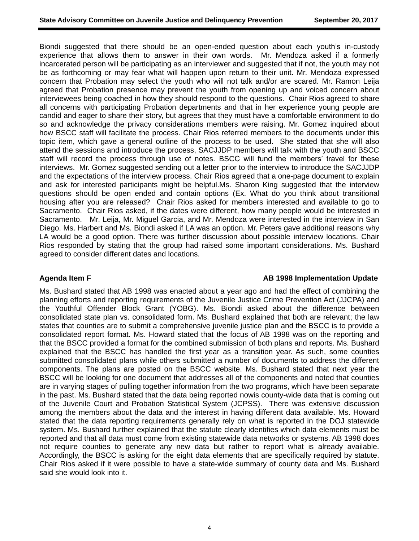Biondi suggested that there should be an open-ended question about each youth's in-custody experience that allows them to answer in their own words. Mr. Mendoza asked if a formerly incarcerated person will be participating as an interviewer and suggested that if not, the youth may not be as forthcoming or may fear what will happen upon return to their unit. Mr. Mendoza expressed concern that Probation may select the youth who will not talk and/or are scared. Mr. Ramon Leija agreed that Probation presence may prevent the youth from opening up and voiced concern about interviewees being coached in how they should respond to the questions. Chair Rios agreed to share all concerns with participating Probation departments and that in her experience young people are candid and eager to share their story, but agrees that they must have a comfortable environment to do so and acknowledge the privacy considerations members were raising. Mr. Gomez inquired about how BSCC staff will facilitate the process. Chair Rios referred members to the documents under this topic item, which gave a general outline of the process to be used. She stated that she will also attend the sessions and introduce the process, SACJJDP members will talk with the youth and BSCC staff will record the process through use of notes. BSCC will fund the members' travel for these interviews. Mr. Gomez suggested sending out a letter prior to the interview to introduce the SACJJDP and the expectations of the interview process. Chair Rios agreed that a one-page document to explain and ask for interested participants might be helpful.Ms. Sharon King suggested that the interview questions should be open ended and contain options (Ex. What do you think about transitional housing after you are released? Chair Rios asked for members interested and available to go to Sacramento. Chair Rios asked, if the dates were different, how many people would be interested in Sacramento. Mr. Leija, Mr. Miguel Garcia, and Mr. Mendoza were interested in the interview in San Diego. Ms. Harbert and Ms. Biondi asked if LA was an option. Mr. Peters gave additional reasons why LA would be a good option. There was further discussion about possible interview locations. Chair Rios responded by stating that the group had raised some important considerations. Ms. Bushard agreed to consider different dates and locations.

**Agenda Item F AB 1998 Implementation Update**

Ms. Bushard stated that AB 1998 was enacted about a year ago and had the effect of combining the planning efforts and reporting requirements of the Juvenile Justice Crime Prevention Act (JJCPA) and the Youthful Offender Block Grant (YOBG). Ms. Biondi asked about the difference between consolidated state plan vs. consolidated form. Ms. Bushard explained that both are relevant; the law states that counties are to submit a comprehensive juvenile justice plan and the BSCC is to provide a consolidated report format. Ms. Howard stated that the focus of AB 1998 was on the reporting and that the BSCC provided a format for the combined submission of both plans and reports. Ms. Bushard explained that the BSCC has handled the first year as a transition year. As such, some counties submitted consolidated plans while others submitted a number of documents to address the different components. The plans are posted on the BSCC website. Ms. Bushard stated that next year the BSCC will be looking for one document that addresses all of the components and noted that counties are in varying stages of pulling together information from the two programs, which have been separate in the past. Ms. Bushard stated that the data being reported nowis county-wide data that is coming out of the Juvenile Court and Probation Statistical System (JCPSS). There was extensive discussion among the members about the data and the interest in having different data available. Ms. Howard stated that the data reporting requirements generally rely on what is reported in the DOJ statewide system. Ms. Bushard further explained that the statute clearly identifies which data elements must be reported and that all data must come from existing statewide data networks or systems. AB 1998 does not require counties to generate any new data but rather to report what is already available. Accordingly, the BSCC is asking for the eight data elements that are specifically required by statute. Chair Rios asked if it were possible to have a state-wide summary of county data and Ms. Bushard said she would look into it.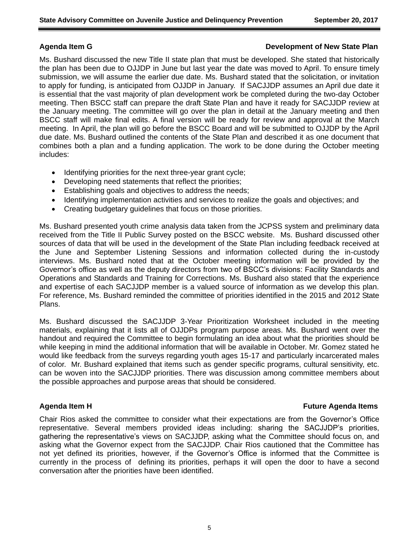### **Agenda Item G Development of New State Plan**

Ms. Bushard discussed the new Title II state plan that must be developed. She stated that historically the plan has been due to OJJDP in June but last year the date was moved to April. To ensure timely submission, we will assume the earlier due date. Ms. Bushard stated that the solicitation, or invitation to apply for funding, is anticipated from OJJDP in January. If SACJJDP assumes an April due date it is essential that the vast majority of plan development work be completed during the two-day October meeting. Then BSCC staff can prepare the draft State Plan and have it ready for SACJJDP review at the January meeting. The committee will go over the plan in detail at the January meeting and then BSCC staff will make final edits. A final version will be ready for review and approval at the March meeting. In April, the plan will go before the BSCC Board and will be submitted to OJJDP by the April due date. Ms. Bushard outlined the contents of the State Plan and described it as one document that combines both a plan and a funding application. The work to be done during the October meeting includes:

- Identifying priorities for the next three-year grant cycle;
- Developing need statements that reflect the priorities;
- Establishing goals and objectives to address the needs;
- Identifying implementation activities and services to realize the goals and objectives; and
- Creating budgetary guidelines that focus on those priorities.

Ms. Bushard presented youth crime analysis data taken from the JCPSS system and preliminary data received from the Title II Public Survey posted on the BSCC website. Ms. Bushard discussed other sources of data that will be used in the development of the State Plan including feedback received at the June and September Listening Sessions and information collected during the in-custody interviews. Ms. Bushard noted that at the October meeting information will be provided by the Governor's office as well as the deputy directors from two of BSCC's divisions: Facility Standards and Operations and Standards and Training for Corrections. Ms. Bushard also stated that the experience and expertise of each SACJJDP member is a valued source of information as we develop this plan. For reference, Ms. Bushard reminded the committee of priorities identified in the 2015 and 2012 State Plans.

Ms. Bushard discussed the SACJJDP 3-Year Prioritization Worksheet included in the meeting materials, explaining that it lists all of OJJDPs program purpose areas. Ms. Bushard went over the handout and required the Committee to begin formulating an idea about what the priorities should be while keeping in mind the additional information that will be available in October. Mr. Gomez stated he would like feedback from the surveys regarding youth ages 15-17 and particularly incarcerated males of color. Mr. Bushard explained that items such as gender specific programs, cultural sensitivity, etc. can be woven into the SACJJDP priorities. There was discussion among committee members about the possible approaches and purpose areas that should be considered.

### **Agenda Item H Future Agenda Items**

Chair Rios asked the committee to consider what their expectations are from the Governor's Office representative. Several members provided ideas including: sharing the SACJJDP's priorities, gathering the representative's views on SACJJDP, asking what the Committee should focus on, and asking what the Governor expect from the SACJJDP. Chair Rios cautioned that the Committee has not yet defined its priorities, however, if the Governor's Office is informed that the Committee is currently in the process of defining its priorities, perhaps it will open the door to have a second conversation after the priorities have been identified.